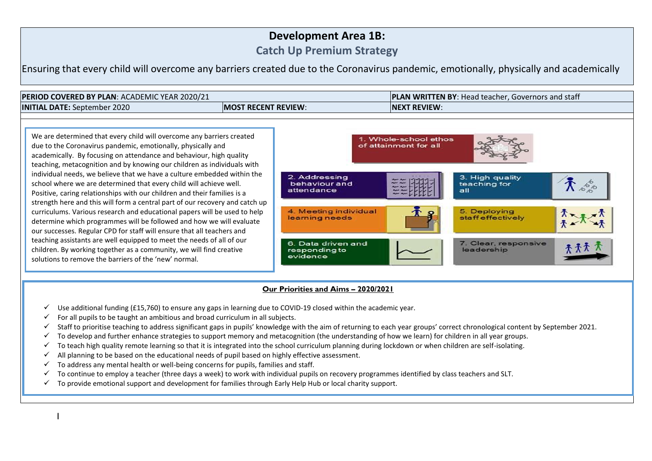## **Development Area 1B:**

**Catch Up Premium Strategy**

Ensuring that every child will overcome any barriers created due to the Coronavirus pandemic, emotionally, physically and academically



teaching, metacognition and by knowing our children as individuals with individual needs, we believe that we have a culture embedded within the school where we are determined that every child will achieve well. Positive, caring relationships with our children and their families is a strength here and this will form a central part of our recovery and catch up curriculums. Various research and educational papers will be used to help determine which programmes will be followed and how we will evaluate our successes. Regular CPD for staff will ensure that all teachers and teaching assistants are well equipped to meet the needs of all of our children. By working together as a community, we will find creative solutions to remove the barriers of the 'new' normal.



## **Our Priorities and Aims – 2020/2021**

- $\checkmark$  Use additional funding (£15,760) to ensure any gaps in learning due to COVID-19 closed within the academic year.
- $\checkmark$  For all pupils to be taught an ambitious and broad curriculum in all subjects.
- $\checkmark$  Staff to prioritise teaching to address significant gaps in pupils' knowledge with the aim of returning to each year groups' correct chronological content by September 2021.
- $\checkmark$  To develop and further enhance strategies to support memory and metacognition (the understanding of how we learn) for children in all year groups.
- $\checkmark$  To teach high quality remote learning so that it is integrated into the school curriculum planning during lockdown or when children are self-isolating.
- $\checkmark$  All planning to be based on the educational needs of pupil based on highly effective assessment.
- $\checkmark$  To address any mental health or well-being concerns for pupils, families and staff.
- $\checkmark$  To continue to employ a teacher (three days a week) to work with individual pupils on recovery programmes identified by class teachers and SLT.
- $\checkmark$  To provide emotional support and development for families through Early Help Hub or local charity support.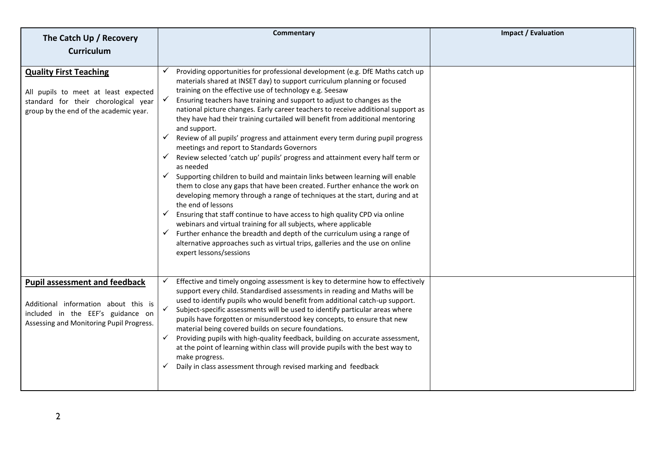| The Catch Up / Recovery                                                                                                                                       | <b>Commentary</b>                                                                                                                                                                                                                                                                                                                                                                                                                                                                                                                                                                                                                                                                                                                                                                                                                                                                                                                                                                                                                                                                                                                                                                                                                                                                                                                                            | <b>Impact / Evaluation</b> |
|---------------------------------------------------------------------------------------------------------------------------------------------------------------|--------------------------------------------------------------------------------------------------------------------------------------------------------------------------------------------------------------------------------------------------------------------------------------------------------------------------------------------------------------------------------------------------------------------------------------------------------------------------------------------------------------------------------------------------------------------------------------------------------------------------------------------------------------------------------------------------------------------------------------------------------------------------------------------------------------------------------------------------------------------------------------------------------------------------------------------------------------------------------------------------------------------------------------------------------------------------------------------------------------------------------------------------------------------------------------------------------------------------------------------------------------------------------------------------------------------------------------------------------------|----------------------------|
| <b>Curriculum</b>                                                                                                                                             |                                                                                                                                                                                                                                                                                                                                                                                                                                                                                                                                                                                                                                                                                                                                                                                                                                                                                                                                                                                                                                                                                                                                                                                                                                                                                                                                                              |                            |
| <b>Quality First Teaching</b><br>All pupils to meet at least expected<br>standard for their chorological year<br>group by the end of the academic year.       | Providing opportunities for professional development (e.g. DfE Maths catch up<br>materials shared at INSET day) to support curriculum planning or focused<br>training on the effective use of technology e.g. Seesaw<br>Ensuring teachers have training and support to adjust to changes as the<br>national picture changes. Early career teachers to receive additional support as<br>they have had their training curtailed will benefit from additional mentoring<br>and support.<br>$\checkmark$ Review of all pupils' progress and attainment every term during pupil progress<br>meetings and report to Standards Governors<br>Review selected 'catch up' pupils' progress and attainment every half term or<br>as needed<br>Supporting children to build and maintain links between learning will enable<br>them to close any gaps that have been created. Further enhance the work on<br>developing memory through a range of techniques at the start, during and at<br>the end of lessons<br>Ensuring that staff continue to have access to high quality CPD via online<br>webinars and virtual training for all subjects, where applicable<br>Further enhance the breadth and depth of the curriculum using a range of<br>$\checkmark$<br>alternative approaches such as virtual trips, galleries and the use on online<br>expert lessons/sessions |                            |
| <b>Pupil assessment and feedback</b><br>Additional information about this is<br>included in the EEF's guidance on<br>Assessing and Monitoring Pupil Progress. | Effective and timely ongoing assessment is key to determine how to effectively<br>support every child. Standardised assessments in reading and Maths will be<br>used to identify pupils who would benefit from additional catch-up support.<br>Subject-specific assessments will be used to identify particular areas where<br>pupils have forgotten or misunderstood key concepts, to ensure that new<br>material being covered builds on secure foundations.<br>Providing pupils with high-quality feedback, building on accurate assessment,<br>$\checkmark$<br>at the point of learning within class will provide pupils with the best way to<br>make progress.<br>Daily in class assessment through revised marking and feedback                                                                                                                                                                                                                                                                                                                                                                                                                                                                                                                                                                                                                        |                            |